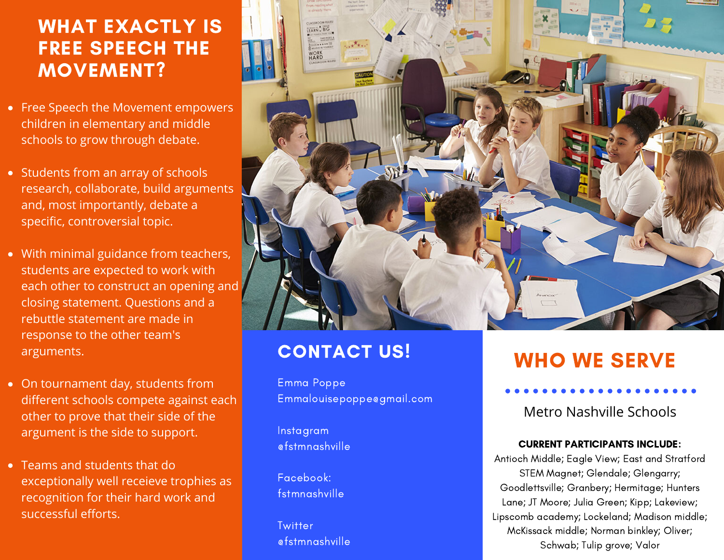### $\overline{\phantom{a}}$ WHAT EXACTLY IS FREE SPEECH THE MOVEMENT?

- Free Speech the Movement empowers children in elementary and middle schools to grow through debate.
- Students from an array of schools research, collaborate, build arguments and, most importantly, debate a specific, controversial topic.
- With minimal guidance from teachers, students are expected to work with each other to construct an opening and closing statement. Questions and a rebuttle statement are made in response to the other team's arguments.
- On tournament day, students from different schools compete against each other to prove that their side of the argument is the side to support.
- Teams and students that do exceptionally well receieve trophies as recognition for their hard work and successful efforts.



### CONTACT US!

Emma Poppe Emmalouisepoppe@gmail.com

Instagram @fstmnashville

Facebook: fstmnashville

**Twitter** @fstmnashville

# WHO WE SERVE

Metro Nashville Schools

#### CURRENT PARTICIPANTS INCLUDE:

Antioch Middle; Eagle View; East and Stratford STEM Magnet; Glendale; Glengarry; Goodlettsville; Granbery; Hermitage; Hunters Lane; JT Moore; Julia Green; Kipp; Lakeview; Lipscomb academy; Lockeland; Madison middle; McKissack middle; Norman binkley; Oliver; Schwab; Tulip grove; Valor